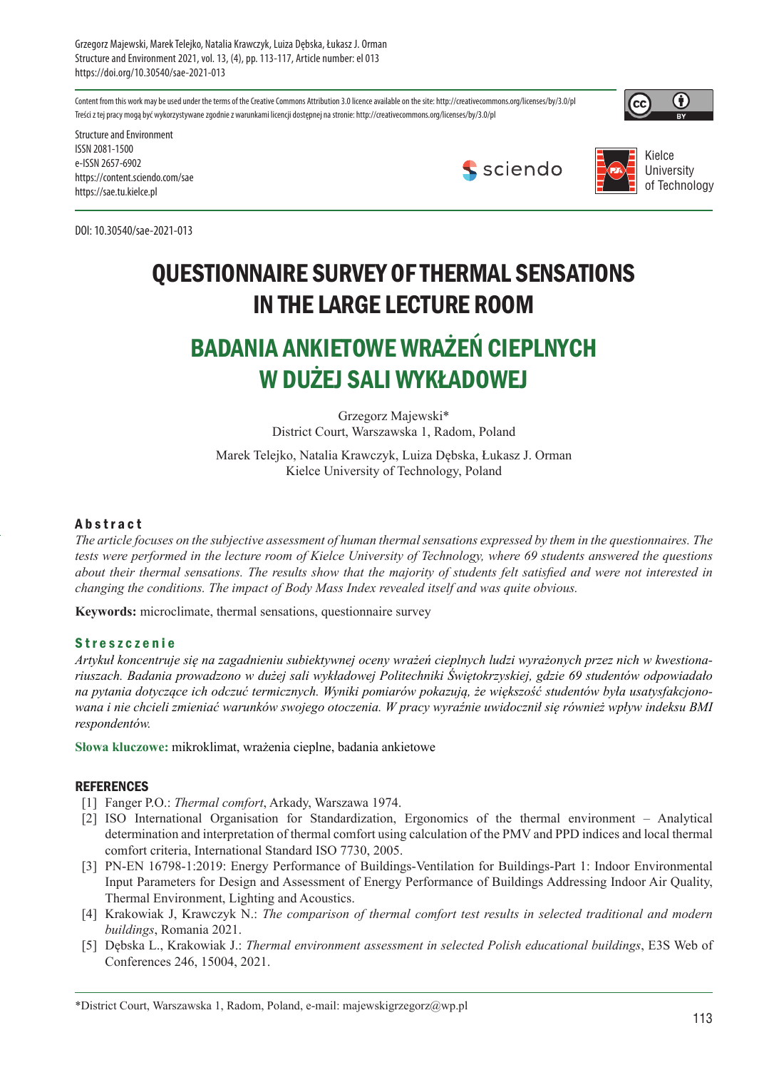Grzegorz Majewski, Marek Telejko, Natalia Krawczyk, Luiza Dębska, Łukasz J. Orman Structure and Environment 2021, vol. 13, (4), pp. 113-117, Article number: el 013 https://doi.org/10.30540/sae-2021-013

Content from this work may be used under the terms of the Creative Commons Attribution 3.0 licence available on the site: http://creativecommons.org/licenses/by/3.0/pl Treści z tej pracy mogą być wykorzystywane zgodnie z warunkami licencji dostępnej na stronie: http://creativecommons.org/licenses/by/3.0/pl



Structure and Environment ISSN 2081-1500 e-ISSN 2657-6902 https://content.sciendo.com/sae https://sae.tu.kielce.pl

DOI: 10.30540/sae-2021-013





## QUESTIONNAIRE SURVEY OF THERMAL SENSATIONS IN THE LARGE LECTURE ROOM

## BADANIA ANKIETOWE WRAŻEŃ CIEPLNYCH W DUŻEJ SALI WYKŁADOWEJ

Grzegorz Majewski\* District Court, Warszawska 1, Radom, Poland

Marek Telejko, Natalia Krawczyk, Luiza Dębska, Łukasz J. Orman Kielce University of Technology, Poland

### **Abstract**

*The article focuses on the subjective assessment of human thermal sensations expressed by them in the questionnaires. The tests were performed in the lecture room of Kielce University of Technology, where 69 students answered the questions about their thermal sensations. The results show that the majority of students felt satisfied and were not interested in changing the conditions. The impact of Body Mass Index revealed itself and was quite obvious.* 

**Keywords:** microclimate, thermal sensations, questionnaire survey

#### **Streszczenie**

*Artykuł koncentruje się na zagadnieniu subiektywnej oceny wrażeń cieplnych ludzi wyrażonych przez nich w kwestionariuszach. Badania prowadzono w dużej sali wykładowej Politechniki Świętokrzyskiej, gdzie 69 studentów odpowiadało na pytania dotyczące ich odczuć termicznych. Wyniki pomiarów pokazują, że większość studentów była usatysfakcjonowana i nie chcieli zmieniać warunków swojego otoczenia. W pracy wyraźnie uwidocznił się również wpływ indeksu BMI respondentów.*

**Słowa kluczowe:** mikroklimat, wrażenia cieplne, badania ankietowe

#### **REFERENCES**

- [1] Fanger P.O.: *Thermal comfort*, Arkady, Warszawa 1974.
- [2] ISO International Organisation for Standardization, Ergonomics of the thermal environment Analytical determination and interpretation of thermal comfort using calculation of the PMV and PPD indices and local thermal comfort criteria, International Standard ISO 7730, 2005.
- [3] PN-EN 16798-1:2019: Energy Performance of Buildings-Ventilation for Buildings-Part 1: Indoor Environmental Input Parameters for Design and Assessment of Energy Performance of Buildings Addressing Indoor Air Quality, Thermal Environment, Lighting and Acoustics.
- [4] Krakowiak J, Krawczyk N.: *The comparison of thermal comfort test results in selected traditional and modern buildings*, Romania 2021.
- [5] Dębska L., Krakowiak J.: *Thermal environment assessment in selected Polish educational buildings*, E3S Web of Conferences 246, 15004, 2021.